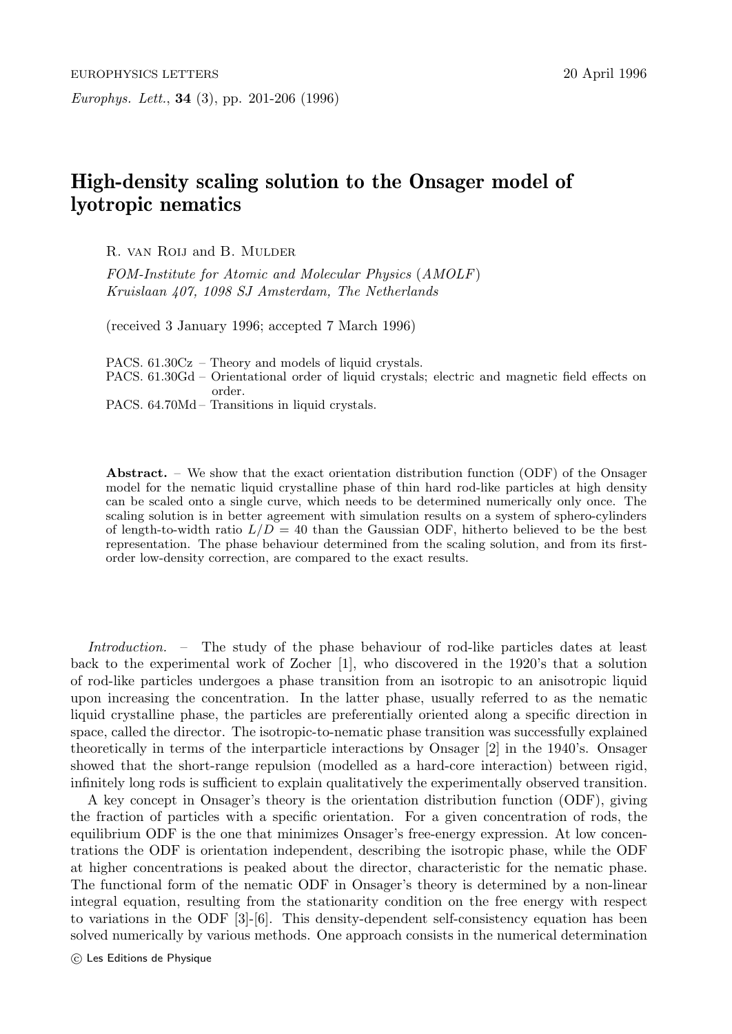## **High-density scaling solution to the Onsager model of lyotropic nematics**

R. van Roij and B. Mulder

FOM-Institute for Atomic and Molecular Physics (AMOLF) Kruislaan 407, 1098 SJ Amsterdam, The Netherlands

(received 3 January 1996; accepted 7 March 1996)

PACS. 61.30Cz – Theory and models of liquid crystals.

PACS. 61.30Gd – Orientational order of liquid crystals; electric and magnetic field effects on order.

PACS. 64.70Md – Transitions in liquid crystals.

**Abstract.** – We show that the exact orientation distribution function (ODF) of the Onsager model for the nematic liquid crystalline phase of thin hard rod-like particles at high density can be scaled onto a single curve, which needs to be determined numerically only once. The scaling solution is in better agreement with simulation results on a system of sphero-cylinders of length-to-width ratio  $L/D = 40$  than the Gaussian ODF, hitherto believed to be the best representation. The phase behaviour determined from the scaling solution, and from its firstorder low-density correction, are compared to the exact results.

Introduction. – The study of the phase behaviour of rod-like particles dates at least back to the experimental work of Zocher [1], who discovered in the 1920's that a solution of rod-like particles undergoes a phase transition from an isotropic to an anisotropic liquid upon increasing the concentration. In the latter phase, usually referred to as the nematic liquid crystalline phase, the particles are preferentially oriented along a specific direction in space, called the director. The isotropic-to-nematic phase transition was successfully explained theoretically in terms of the interparticle interactions by Onsager [2] in the 1940's. Onsager showed that the short-range repulsion (modelled as a hard-core interaction) between rigid, infinitely long rods is sufficient to explain qualitatively the experimentally observed transition.

A key concept in Onsager's theory is the orientation distribution function (ODF), giving the fraction of particles with a specific orientation. For a given concentration of rods, the equilibrium ODF is the one that minimizes Onsager's free-energy expression. At low concentrations the ODF is orientation independent, describing the isotropic phase, while the ODF at higher concentrations is peaked about the director, characteristic for the nematic phase. The functional form of the nematic ODF in Onsager's theory is determined by a non-linear integral equation, resulting from the stationarity condition on the free energy with respect to variations in the ODF [3]-[6]. This density-dependent self-consistency equation has been solved numerically by various methods. One approach consists in the numerical determination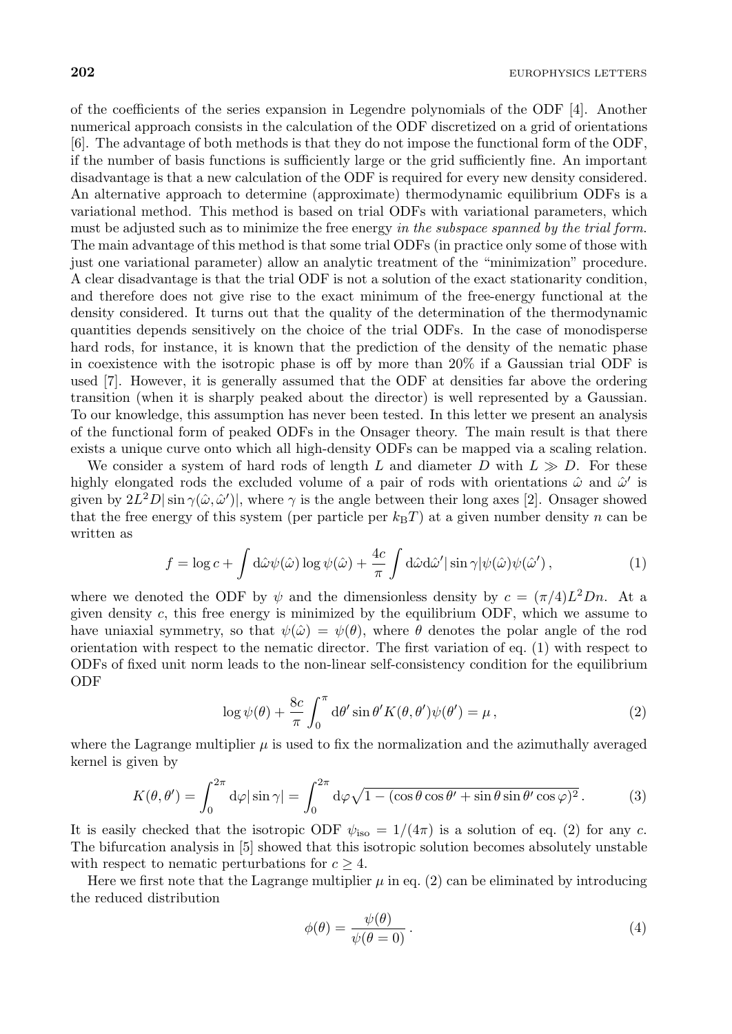of the coefficients of the series expansion in Legendre polynomials of the ODF [4]. Another numerical approach consists in the calculation of the ODF discretized on a grid of orientations [6]. The advantage of both methods is that they do not impose the functional form of the ODF, if the number of basis functions is sufficiently large or the grid sufficiently fine. An important disadvantage is that a new calculation of the ODF is required for every new density considered. An alternative approach to determine (approximate) thermodynamic equilibrium ODFs is a variational method. This method is based on trial ODFs with variational parameters, which must be adjusted such as to minimize the free energy in the subspace spanned by the trial form. The main advantage of this method is that some trial ODFs (in practice only some of those with just one variational parameter) allow an analytic treatment of the "minimization" procedure. A clear disadvantage is that the trial ODF is not a solution of the exact stationarity condition, and therefore does not give rise to the exact minimum of the free-energy functional at the density considered. It turns out that the quality of the determination of the thermodynamic quantities depends sensitively on the choice of the trial ODFs. In the case of monodisperse hard rods, for instance, it is known that the prediction of the density of the nematic phase in coexistence with the isotropic phase is off by more than 20% if a Gaussian trial ODF is used [7]. However, it is generally assumed that the ODF at densities far above the ordering transition (when it is sharply peaked about the director) is well represented by a Gaussian. To our knowledge, this assumption has never been tested. In this letter we present an analysis of the functional form of peaked ODFs in the Onsager theory. The main result is that there exists a unique curve onto which all high-density ODFs can be mapped via a scaling relation.

We consider a system of hard rods of length L and diameter  $D$  with  $L \gg D$ . For these highly elongated rods the excluded volume of a pair of rods with orientations  $\hat{\omega}$  and  $\hat{\omega}'$  is given by  $2L^2D|\sin\gamma(\hat{\omega},\hat{\omega}')|$ , where  $\gamma$  is the angle between their long axes [2]. Onsager showed that the free energy of this system (per particle per  $k_BT$ ) at a given number density n can be written as

$$
f = \log c + \int d\hat{\omega} \psi(\hat{\omega}) \log \psi(\hat{\omega}) + \frac{4c}{\pi} \int d\hat{\omega} d\hat{\omega}' |\sin \gamma| \psi(\hat{\omega}) \psi(\hat{\omega}'), \tag{1}
$$

where we denoted the ODF by  $\psi$  and the dimensionless density by  $c = (\pi/4)L^2Dn$ . At a given density  $c$ , this free energy is minimized by the equilibrium ODF, which we assume to have uniaxial symmetry, so that  $\psi(\hat{\omega}) = \psi(\theta)$ , where  $\theta$  denotes the polar angle of the rod orientation with respect to the nematic director. The first variation of eq. (1) with respect to ODFs of fixed unit norm leads to the non-linear self-consistency condition for the equilibrium ODF

$$
\log \psi(\theta) + \frac{8c}{\pi} \int_0^{\pi} d\theta' \sin \theta' K(\theta, \theta') \psi(\theta') = \mu,
$$
\n(2)

where the Lagrange multiplier  $\mu$  is used to fix the normalization and the azimuthally averaged kernel is given by

$$
K(\theta, \theta') = \int_0^{2\pi} d\varphi |\sin \gamma| = \int_0^{2\pi} d\varphi \sqrt{1 - (\cos \theta \cos \theta' + \sin \theta \sin \theta' \cos \varphi)^2}.
$$
 (3)

It is easily checked that the isotropic ODF  $\psi_{\text{iso}} = 1/(4\pi)$  is a solution of eq. (2) for any c. The bifurcation analysis in [5] showed that this isotropic solution becomes absolutely unstable with respect to nematic perturbations for  $c \geq 4$ .

Here we first note that the Lagrange multiplier  $\mu$  in eq. (2) can be eliminated by introducing the reduced distribution

$$
\phi(\theta) = \frac{\psi(\theta)}{\psi(\theta = 0)}.
$$
\n(4)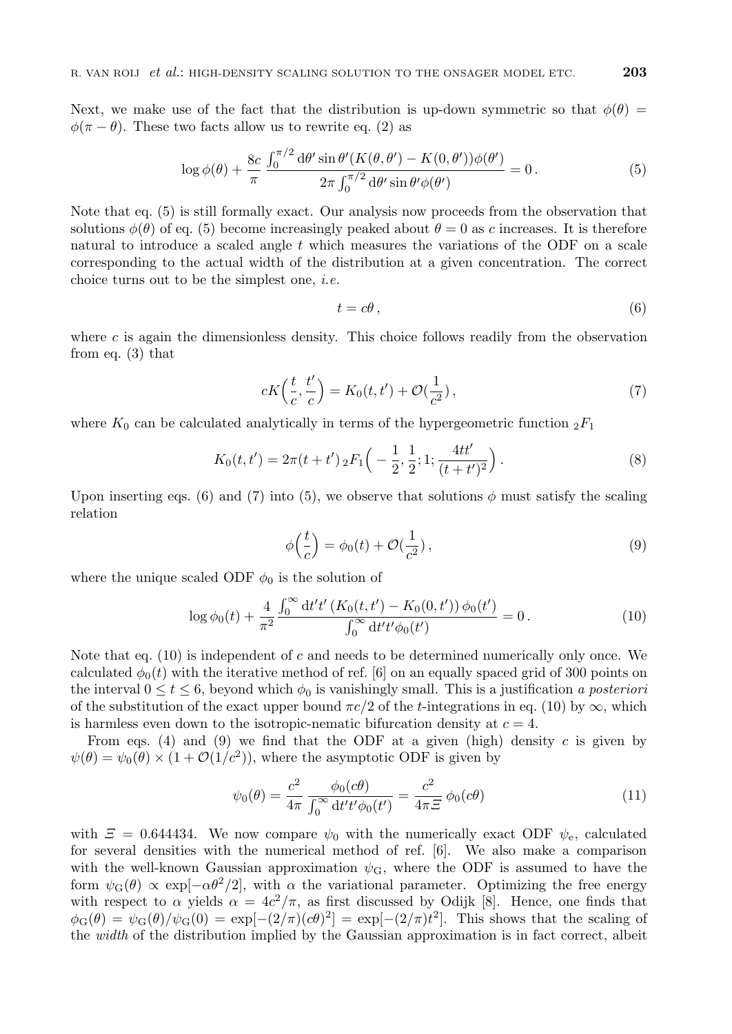Next, we make use of the fact that the distribution is up-down symmetric so that  $\phi(\theta)$  =  $\phi(\pi - \theta)$ . These two facts allow us to rewrite eq. (2) as

$$
\log \phi(\theta) + \frac{8c}{\pi} \frac{\int_0^{\pi/2} d\theta' \sin \theta' (K(\theta, \theta') - K(0, \theta')) \phi(\theta')}{2\pi \int_0^{\pi/2} d\theta' \sin \theta' \phi(\theta')} = 0.
$$
 (5)

Note that eq. (5) is still formally exact. Our analysis now proceeds from the observation that solutions  $\phi(\theta)$  of eq. (5) become increasingly peaked about  $\theta = 0$  as c increases. It is therefore natural to introduce a scaled angle  $t$  which measures the variations of the ODF on a scale corresponding to the actual width of the distribution at a given concentration. The correct choice turns out to be the simplest one, i.e.

$$
t = c\theta \,,\tag{6}
$$

where  $c$  is again the dimensionless density. This choice follows readily from the observation from eq. (3) that

$$
cK\left(\frac{t}{c},\frac{t'}{c}\right) = K_0(t,t') + \mathcal{O}(\frac{1}{c^2}),\tag{7}
$$

where  $K_0$  can be calculated analytically in terms of the hypergeometric function  ${}_2F_1$ 

$$
K_0(t, t') = 2\pi (t + t') \, {}_2F_1\left(-\frac{1}{2}, \frac{1}{2}; 1; \frac{4tt'}{(t + t')^2}\right). \tag{8}
$$

Upon inserting eqs. (6) and (7) into (5), we observe that solutions  $\phi$  must satisfy the scaling relation

$$
\phi\left(\frac{t}{c}\right) = \phi_0(t) + \mathcal{O}(\frac{1}{c^2}),\tag{9}
$$

where the unique scaled ODF  $\phi_0$  is the solution of

$$
\log \phi_0(t) + \frac{4}{\pi^2} \frac{\int_0^\infty dt' t' \left( K_0(t, t') - K_0(0, t') \right) \phi_0(t')}{\int_0^\infty dt' t' \phi_0(t')} = 0. \tag{10}
$$

Note that eq.  $(10)$  is independent of c and needs to be determined numerically only once. We calculated  $\phi_0(t)$  with the iterative method of ref. [6] on an equally spaced grid of 300 points on the interval  $0 \le t \le 6$ , beyond which  $\phi_0$  is vanishingly small. This is a justification a posteriori of the substitution of the exact upper bound  $\pi c/2$  of the *t*-integrations in eq. (10) by  $\infty$ , which is harmless even down to the isotropic-nematic bifurcation density at  $c = 4$ .

From eqs. (4) and (9) we find that the ODF at a given (high) density c is given by  $\psi(\theta) = \psi_0(\theta) \times (1 + \mathcal{O}(1/c^2))$ , where the asymptotic ODF is given by

$$
\psi_0(\theta) = \frac{c^2}{4\pi} \frac{\phi_0(c\theta)}{\int_0^\infty dt' t' \phi_0(t')} = \frac{c^2}{4\pi\Xi} \phi_0(c\theta)
$$
\n(11)

with  $\mathcal{Z} = 0.644434$ . We now compare  $\psi_0$  with the numerically exact ODF  $\psi_e$ , calculated for several densities with the numerical method of ref. [6]. We also make a comparison with the well-known Gaussian approximation  $\psi_{\mathbf{G}}$ , where the ODF is assumed to have the form  $\psi_{\rm G}(\theta) \propto \exp[-\alpha \theta^2/2]$ , with  $\alpha$  the variational parameter. Optimizing the free energy with respect to  $\alpha$  yields  $\alpha = 4c^2/\pi$ , as first discussed by Odijk [8]. Hence, one finds that  $\phi_{\rm G}(\theta) = \psi_{\rm G}(\theta)/\psi_{\rm G}(0) = \exp[-(2/\pi)(c\theta)^2] = \exp[-(2/\pi)t^2]$ . This shows that the scaling of the *width* of the distribution implied by the Gaussian approximation is in fact correct, albeit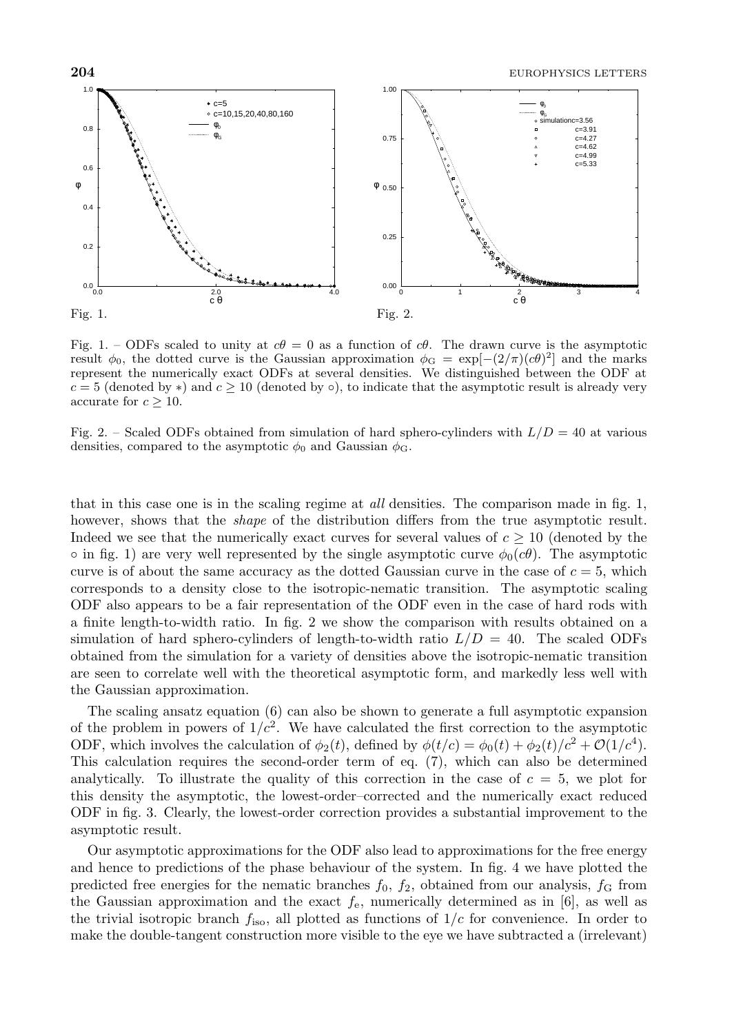

Fig. 1. – ODFs scaled to unity at  $c\theta = 0$  as a function of  $c\theta$ . The drawn curve is the asymptotic result  $\phi_0$ , the dotted curve is the Gaussian approximation  $\phi_G = \exp[-(2/\pi)(c\theta)^2]$  and the marks represent the numerically exact ODFs at several densities. We distinguished between the ODF at c = 5 (denoted by *∗*) and c *≥* 10 (denoted by *◦*), to indicate that the asymptotic result is already very accurate for  $c \geq 10$ .

Fig. 2. – Scaled ODFs obtained from simulation of hard sphero-cylinders with  $L/D = 40$  at various densities, compared to the asymptotic  $\phi_0$  and Gaussian  $\phi$ <sub>G</sub>.

that in this case one is in the scaling regime at *all* densities. The comparison made in fig. 1, however, shows that the *shape* of the distribution differs from the true asymptotic result. Indeed we see that the numerically exact curves for several values of  $c \geq 10$  (denoted by the  $\circ$  in fig. 1) are very well represented by the single asymptotic curve  $\phi_0(c\theta)$ . The asymptotic curve is of about the same accuracy as the dotted Gaussian curve in the case of  $c = 5$ , which corresponds to a density close to the isotropic-nematic transition. The asymptotic scaling ODF also appears to be a fair representation of the ODF even in the case of hard rods with a finite length-to-width ratio. In fig. 2 we show the comparison with results obtained on a simulation of hard sphero-cylinders of length-to-width ratio  $L/D = 40$ . The scaled ODFs obtained from the simulation for a variety of densities above the isotropic-nematic transition are seen to correlate well with the theoretical asymptotic form, and markedly less well with the Gaussian approximation.

The scaling ansatz equation (6) can also be shown to generate a full asymptotic expansion of the problem in powers of  $1/c^2$ . We have calculated the first correction to the asymptotic ODF, which involves the calculation of  $\phi_2(t)$ , defined by  $\phi(t/c) = \phi_0(t) + \phi_2(t)/c^2 + \mathcal{O}(1/c^4)$ . This calculation requires the second-order term of eq. (7), which can also be determined analytically. To illustrate the quality of this correction in the case of  $c = 5$ , we plot for this density the asymptotic, the lowest-order–corrected and the numerically exact reduced ODF in fig. 3. Clearly, the lowest-order correction provides a substantial improvement to the asymptotic result.

Our asymptotic approximations for the ODF also lead to approximations for the free energy and hence to predictions of the phase behaviour of the system. In fig. 4 we have plotted the predicted free energies for the nematic branches  $f_0$ ,  $f_2$ , obtained from our analysis,  $f_G$  from the Gaussian approximation and the exact  $f_e$ , numerically determined as in [6], as well as the trivial isotropic branch  $f_{\text{iso}}$ , all plotted as functions of  $1/c$  for convenience. In order to make the double-tangent construction more visible to the eye we have subtracted a (irrelevant)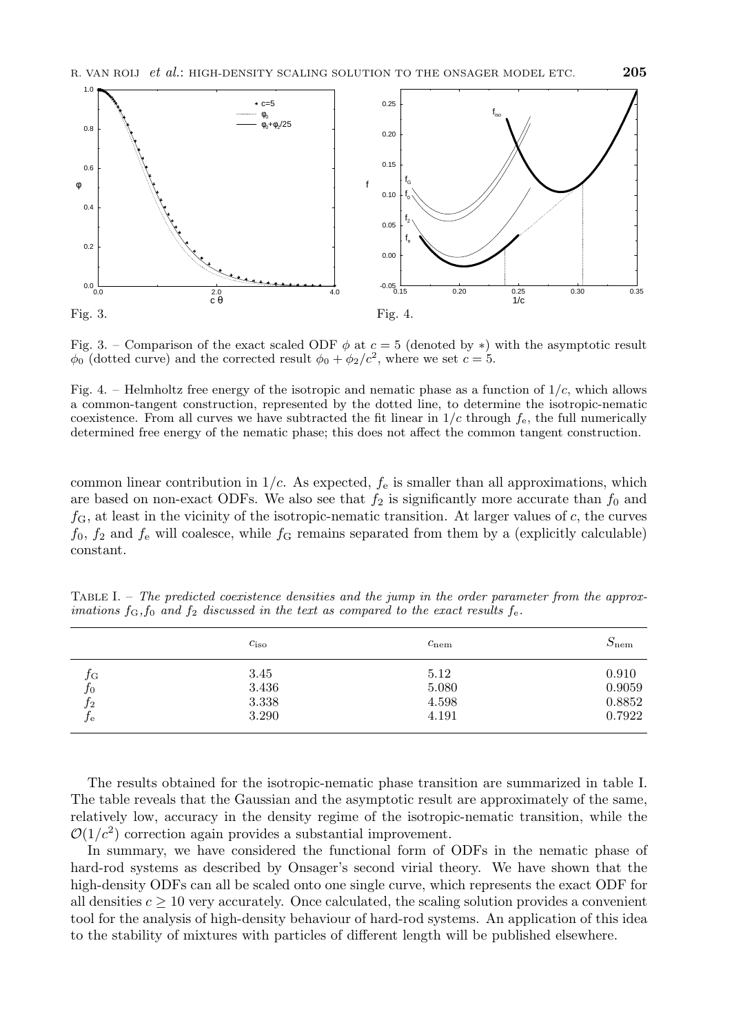

Fig. 3. – Comparison of the exact scaled ODF  $\phi$  at  $c = 5$  (denoted by  $*$ ) with the asymptotic result  $\phi_0$  (dotted curve) and the corrected result  $\phi_0 + \phi_2/c^2$ , where we set  $c = 5$ .

Fig. 4. – Helmholtz free energy of the isotropic and nematic phase as a function of  $1/c$ , which allows a common-tangent construction, represented by the dotted line, to determine the isotropic-nematic coexistence. From all curves we have subtracted the fit linear in  $1/c$  through  $f_e$ , the full numerically determined free energy of the nematic phase; this does not affect the common tangent construction.

common linear contribution in  $1/c$ . As expected,  $f_e$  is smaller than all approximations, which are based on non-exact ODFs. We also see that  $f_2$  is significantly more accurate than  $f_0$  and  $f<sub>G</sub>$ , at least in the vicinity of the isotropic-nematic transition. At larger values of c, the curves  $f_0$ ,  $f_2$  and  $f_e$  will coalesce, while  $f_G$  remains separated from them by a (explicitly calculable) constant.

TABLE I. – The predicted coexistence densities and the jump in the order parameter from the approximations  $f_{\rm G}$ ,  $f_0$  and  $f_2$  discussed in the text as compared to the exact results  $f_{\rm e}$ .

|         | $c_{\rm iso}$ | $c_{\text{nem}}$ | $S_{\rm nem}$ |
|---------|---------------|------------------|---------------|
| JG      | 3.45          | 5.12             | 0.910         |
| $f_{0}$ | 3.436         | 5.080            | 0.9059        |
| J2      | 3.338         | 4.598            | 0.8852        |
| ,J e    | 3.290         | 4.191            | 0.7922        |

The results obtained for the isotropic-nematic phase transition are summarized in table I. The table reveals that the Gaussian and the asymptotic result are approximately of the same, relatively low, accuracy in the density regime of the isotropic-nematic transition, while the  $\mathcal{O}(1/c^2)$  correction again provides a substantial improvement.

In summary, we have considered the functional form of ODFs in the nematic phase of hard-rod systems as described by Onsager's second virial theory. We have shown that the high-density ODFs can all be scaled onto one single curve, which represents the exact ODF for all densities  $c \geq 10$  very accurately. Once calculated, the scaling solution provides a convenient tool for the analysis of high-density behaviour of hard-rod systems. An application of this idea to the stability of mixtures with particles of different length will be published elsewhere.